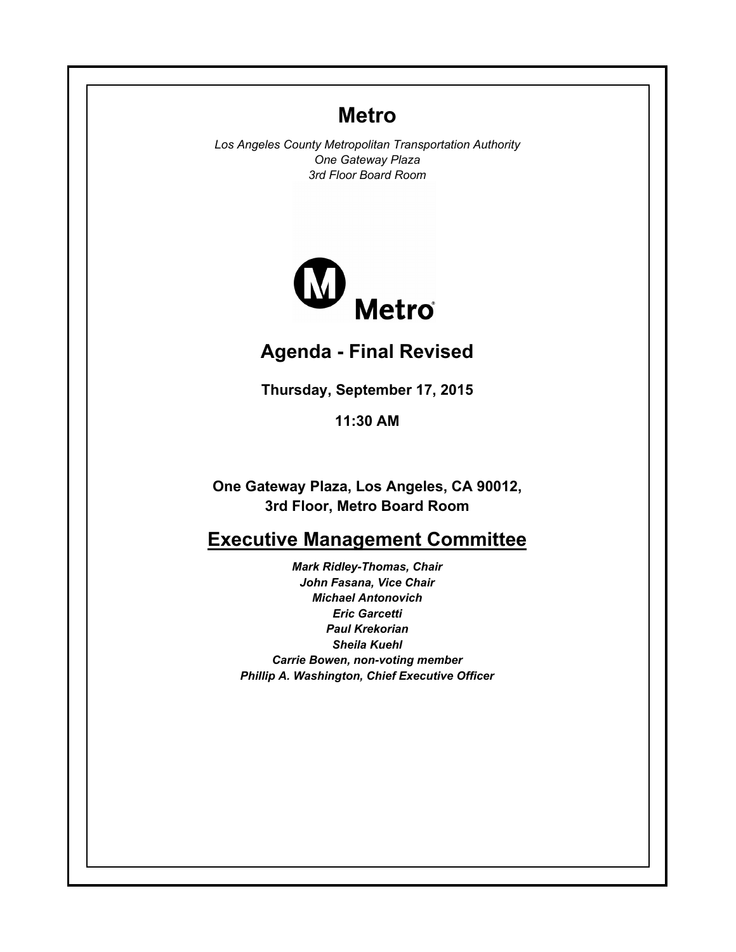# **Metro**

*Los Angeles County Metropolitan Transportation Authority One Gateway Plaza 3rd Floor Board Room*



# **Agenda - Final Revised**

**Thursday, September 17, 2015**

**11:30 AM**

**One Gateway Plaza, Los Angeles, CA 90012, 3rd Floor, Metro Board Room**

# **Executive Management Committee**

*Mark Ridley-Thomas, Chair John Fasana, Vice Chair Michael Antonovich Eric Garcetti Paul Krekorian Sheila Kuehl Carrie Bowen, non-voting member Phillip A. Washington, Chief Executive Officer*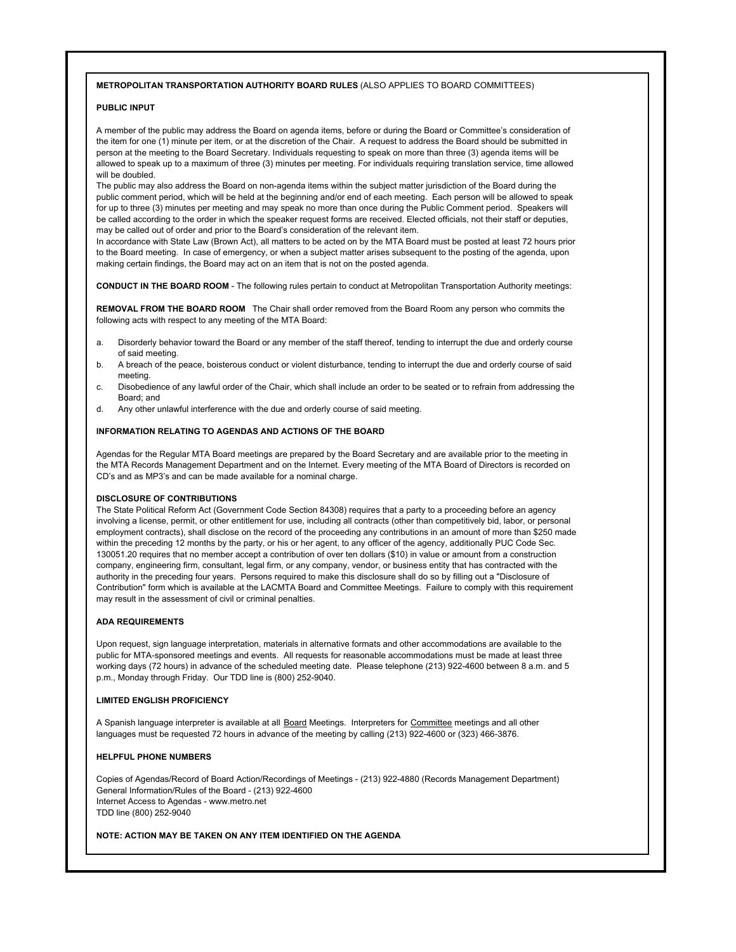#### **METROPOLITAN TRANSPORTATION AUTHORITY BOARD RULES** (ALSO APPLIES TO BOARD COMMITTEES)

### **PUBLIC INPUT**

A member of the public may address the Board on agenda items, before or during the Board or Committee's consideration of the item for one (1) minute per item, or at the discretion of the Chair. A request to address the Board should be submitted in person at the meeting to the Board Secretary. Individuals requesting to speak on more than three (3) agenda items will be allowed to speak up to a maximum of three (3) minutes per meeting. For individuals requiring translation service, time allowed will be doubled.

The public may also address the Board on non-agenda items within the subject matter jurisdiction of the Board during the public comment period, which will be held at the beginning and/or end of each meeting. Each person will be allowed to speak for up to three (3) minutes per meeting and may speak no more than once during the Public Comment period. Speakers will be called according to the order in which the speaker request forms are received. Elected officials, not their staff or deputies, may be called out of order and prior to the Board's consideration of the relevant item.

In accordance with State Law (Brown Act), all matters to be acted on by the MTA Board must be posted at least 72 hours prior to the Board meeting. In case of emergency, or when a subject matter arises subsequent to the posting of the agenda, upon making certain findings, the Board may act on an item that is not on the posted agenda.

**CONDUCT IN THE BOARD ROOM** - The following rules pertain to conduct at Metropolitan Transportation Authority meetings:

**REMOVAL FROM THE BOARD ROOM** The Chair shall order removed from the Board Room any person who commits the following acts with respect to any meeting of the MTA Board:

- a. Disorderly behavior toward the Board or any member of the staff thereof, tending to interrupt the due and orderly course of said meeting.
- b. A breach of the peace, boisterous conduct or violent disturbance, tending to interrupt the due and orderly course of said meeting.
- c. Disobedience of any lawful order of the Chair, which shall include an order to be seated or to refrain from addressing the Board; and
- d. Any other unlawful interference with the due and orderly course of said meeting.

#### **INFORMATION RELATING TO AGENDAS AND ACTIONS OF THE BOARD**

Agendas for the Regular MTA Board meetings are prepared by the Board Secretary and are available prior to the meeting in the MTA Records Management Department and on the Internet. Every meeting of the MTA Board of Directors is recorded on CD's and as MP3's and can be made available for a nominal charge.

#### **DISCLOSURE OF CONTRIBUTIONS**

The State Political Reform Act (Government Code Section 84308) requires that a party to a proceeding before an agency involving a license, permit, or other entitlement for use, including all contracts (other than competitively bid, labor, or personal employment contracts), shall disclose on the record of the proceeding any contributions in an amount of more than \$250 made within the preceding 12 months by the party, or his or her agent, to any officer of the agency, additionally PUC Code Sec. 130051.20 requires that no member accept a contribution of over ten dollars (\$10) in value or amount from a construction company, engineering firm, consultant, legal firm, or any company, vendor, or business entity that has contracted with the authority in the preceding four years. Persons required to make this disclosure shall do so by filling out a "Disclosure of Contribution" form which is available at the LACMTA Board and Committee Meetings. Failure to comply with this requirement may result in the assessment of civil or criminal penalties.

#### **ADA REQUIREMENTS**

Upon request, sign language interpretation, materials in alternative formats and other accommodations are available to the public for MTA-sponsored meetings and events. All requests for reasonable accommodations must be made at least three working days (72 hours) in advance of the scheduled meeting date. Please telephone (213) 922-4600 between 8 a.m. and 5 p.m., Monday through Friday. Our TDD line is (800) 252-9040.

#### **LIMITED ENGLISH PROFICIENCY**

A Spanish language interpreter is available at all Board Meetings. Interpreters for Committee meetings and all other languages must be requested 72 hours in advance of the meeting by calling (213) 922-4600 or (323) 466-3876.

### **HELPFUL PHONE NUMBERS**

Copies of Agendas/Record of Board Action/Recordings of Meetings - (213) 922-4880 (Records Management Department) General Information/Rules of the Board - (213) 922-4600 Internet Access to Agendas - www.metro.net TDD line (800) 252-9040

#### **NOTE: ACTION MAY BE TAKEN ON ANY ITEM IDENTIFIED ON THE AGENDA**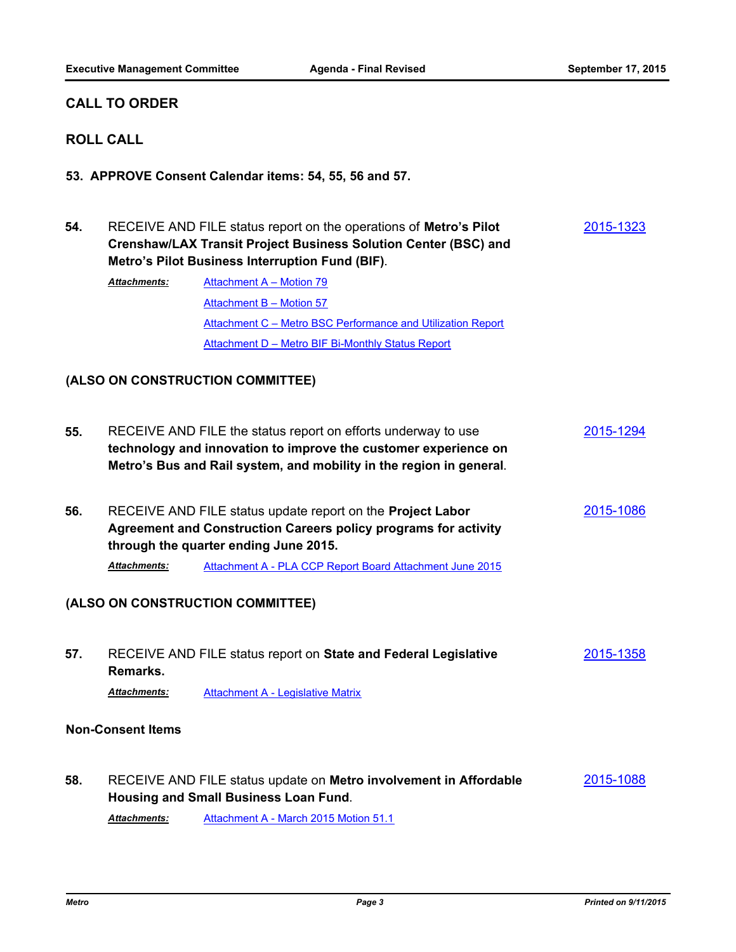## **CALL TO ORDER**

# **ROLL CALL**

**53. APPROVE Consent Calendar items: 54, 55, 56 and 57.**

| 54.                              | RECEIVE AND FILE status report on the operations of Metro's Pilot<br>Crenshaw/LAX Transit Project Business Solution Center (BSC) and<br>Metro's Pilot Business Interruption Fund (BIF). |                                                                                                                                                                                                         |                  |
|----------------------------------|-----------------------------------------------------------------------------------------------------------------------------------------------------------------------------------------|---------------------------------------------------------------------------------------------------------------------------------------------------------------------------------------------------------|------------------|
|                                  | <b>Attachments:</b>                                                                                                                                                                     | Attachment A - Motion 79                                                                                                                                                                                |                  |
|                                  |                                                                                                                                                                                         | Attachment B - Motion 57                                                                                                                                                                                |                  |
|                                  |                                                                                                                                                                                         | Attachment C - Metro BSC Performance and Utilization Report                                                                                                                                             |                  |
|                                  |                                                                                                                                                                                         | Attachment D - Metro BIF Bi-Monthly Status Report                                                                                                                                                       |                  |
| (ALSO ON CONSTRUCTION COMMITTEE) |                                                                                                                                                                                         |                                                                                                                                                                                                         |                  |
| 55.                              |                                                                                                                                                                                         | RECEIVE AND FILE the status report on efforts underway to use<br>technology and innovation to improve the customer experience on<br>Metro's Bus and Rail system, and mobility in the region in general. | <u>2015-1294</u> |
| 56.                              |                                                                                                                                                                                         | RECEIVE AND FILE status update report on the Project Labor<br><b>Agreement and Construction Careers policy programs for activity</b><br>through the quarter ending June 2015.                           | 2015-1086        |
|                                  | <b>Attachments:</b>                                                                                                                                                                     | Attachment A - PLA CCP Report Board Attachment June 2015                                                                                                                                                |                  |
| (ALSO ON CONSTRUCTION COMMITTEE) |                                                                                                                                                                                         |                                                                                                                                                                                                         |                  |
| 57.                              | Remarks.                                                                                                                                                                                | RECEIVE AND FILE status report on State and Federal Legislative                                                                                                                                         | 2015-1358        |
|                                  | <b>Attachments:</b>                                                                                                                                                                     | <b>Attachment A - Legislative Matrix</b>                                                                                                                                                                |                  |
| <b>Non-Consent Items</b>         |                                                                                                                                                                                         |                                                                                                                                                                                                         |                  |
| 58.                              |                                                                                                                                                                                         | RECEIVE AND FILE status update on Metro involvement in Affordable<br><b>Housing and Small Business Loan Fund.</b>                                                                                       | 2015-1088        |

*Attachments:* [Attachment A - March 2015 Motion 51.1](http://metro.legistar.com/gateway.aspx?M=F&ID=2f38ead4-9d23-4cd5-a5d6-563c3d3a381f.pdf)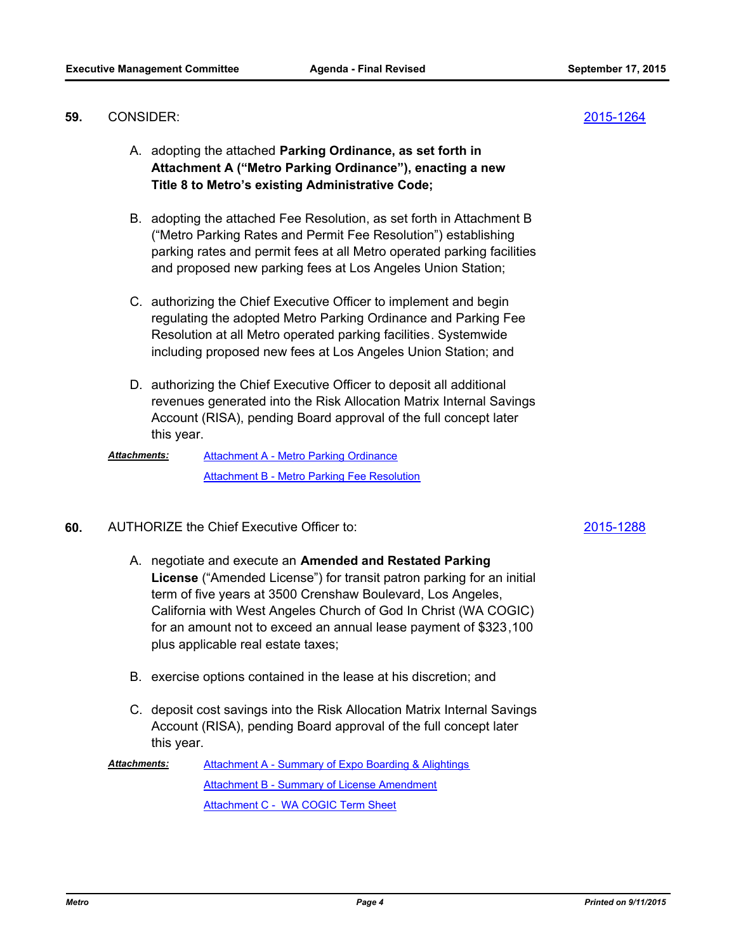### CONSIDER: **59.** [2015-1264](http://metro.legistar.com/gateway.aspx?m=l&id=/matter.aspx?key=2257)

- A. adopting the attached **Parking Ordinance, as set forth in Attachment A ("Metro Parking Ordinance"), enacting a new Title 8 to Metro's existing Administrative Code;**
- B. adopting the attached Fee Resolution, as set forth in Attachment B ("Metro Parking Rates and Permit Fee Resolution") establishing parking rates and permit fees at all Metro operated parking facilities and proposed new parking fees at Los Angeles Union Station;
- C. authorizing the Chief Executive Officer to implement and begin regulating the adopted Metro Parking Ordinance and Parking Fee Resolution at all Metro operated parking facilities. Systemwide including proposed new fees at Los Angeles Union Station; and
- D. authorizing the Chief Executive Officer to deposit all additional revenues generated into the Risk Allocation Matrix Internal Savings Account (RISA), pending Board approval of the full concept later this year.

[Attachment A - Metro Parking Ordinance](http://metro.legistar.com/gateway.aspx?M=F&ID=42d5a43a-d1d6-4e56-9181-a0f4f9b12eb2.docx) [Attachment B - Metro Parking Fee Resolution](http://metro.legistar.com/gateway.aspx?M=F&ID=cc552038-6160-4666-a542-325826bd2ca3.docx) *Attachments:*

AUTHORIZE the Chief Executive Officer to: **60.** [2015-1288](http://metro.legistar.com/gateway.aspx?m=l&id=/matter.aspx?key=2281)

- A. negotiate and execute an **Amended and Restated Parking License** ("Amended License") for transit patron parking for an initial term of five years at 3500 Crenshaw Boulevard, Los Angeles, California with West Angeles Church of God In Christ (WA COGIC) for an amount not to exceed an annual lease payment of \$323,100 plus applicable real estate taxes;
- B. exercise options contained in the lease at his discretion; and
- C. deposit cost savings into the Risk Allocation Matrix Internal Savings Account (RISA), pending Board approval of the full concept later this year.

[Attachment A - Summary of Expo Boarding & Alightings](http://metro.legistar.com/gateway.aspx?M=F&ID=5f731656-d28c-499d-bfd2-84ba91102c38.pdf) [Attachment B - Summary of License Amendment](http://metro.legistar.com/gateway.aspx?M=F&ID=94487168-3f13-4cf6-b399-d29bb6cf9ef6.pdf) [Attachment C - WA COGIC Term Sheet](http://metro.legistar.com/gateway.aspx?M=F&ID=1ca67eaf-6ca5-4507-815b-c4a8e1c67fe5.pdf) *Attachments:*